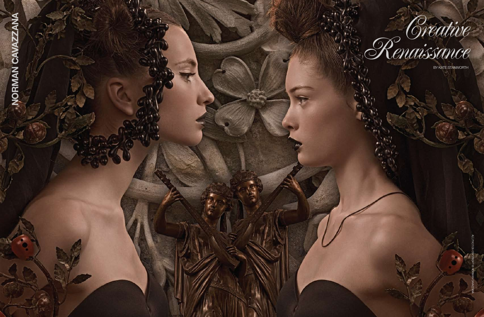ALL PHOTOs COPYRIGHT © Norman Cavazzana



Renaissance

By Kate Stanworth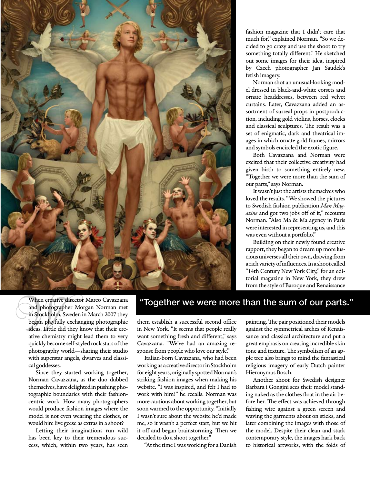

fashion magazine that I didn't care that much for," explained Norman. "So we decided to go crazy and use the shoot to try something totally different." He sketched out some images for their idea, inspired by Czech photographer Jan Saudek's fetish imagery.

Norman shot an unusual-looking model dressed in black-and-white corsets and ornate headdresses, between red velvet curtains. Later, Cavazzana added an assortment of surreal props in postproduction, including gold violins, horses, clocks and classical sculptures. The result was a set of enigmatic, dark and theatrical images in which ornate gold frames, mirrors and symbols encircled the exotic figure.

Both Cavazzana and Norman were excited that their collective creativity had given birth to something entirely new. "Together we were more than the sum of our parts," says Norman.

It wasn't just the artists themselves who loved the results. "We showed the pictures to Swedish fashion publication *Man Magazine* and got two jobs off of it," recounts Norman. "Also Ma & Ma agency in Paris were interested in representing us, and this was even without a portfolio."

Building on their newly found creative rapport, they began to dream up more luscious universes all their own, drawing from a rich variety of influences. In a shoot called "14th Century New York City," for an editorial magazine in New York, they drew from the style of Baroque and Renaissance

When creative director Marco Cavazzana and photographer Morgan Norman met in Stockholm, Sweden in March 2007 they began playfully exchanging photographic ideas. Little did they know that their creative chemistry might lead them to very quickly become self-styled rock stars of the photography world—sharing their studio with superstar angels, dwarves and classical goddesses.

Since they started working together, Norman Cavazzana, as the duo dubbed themselves, have delighted in pushing photographic boundaries with their fashioncentric work. How many photographers would produce fashion images where the model is not even wearing the clothes, or would hire live geese as extras in a shoot?

Letting their imaginations run wild has been key to their tremendous success, which, within two years, has seen

"Together we were more than the sum of our parts."

them establish a successful second office in New York. "It seems that people really want something fresh and different," says Cavazzana. "We've had an amazing response from people who love our style."

Italian-born Cavazzana, who had been working as a creative director in Stockholm for eight years, originally spotted Norman's striking fashion images when making his website. "I was inspired, and felt I had to work with him!" he recalls. Norman was more cautious about working together, but soon warmed to the opportunity. "Initially I wasn't sure about the website he'd made me, so it wasn't a perfect start, but we hit it off and began brainstorming. Then we decided to do a shoot together."

"At the time I was working for a Danish

painting. The pair positioned their models against the symmetrical arches of Renaissance and classical architecture and put a great emphasis on creating incredible skin tone and texture. The symbolism of an apple tree also brings to mind the fantastical religious imagery of early Dutch painter Hieronymus Bosch.

Another shoot for Swedish designer Barbara i Gongini sees their model standing naked as the clothes float in the air before her. The effect was achieved through fishing wire against a green screen and waving the garments about on sticks, and later combining the images with those of the model. Despite their clean and stark contemporary style, the images hark back to historical artworks, with the folds of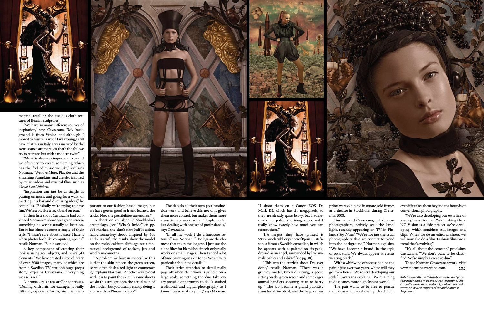

material recalling the luscious cloth textures of Bernini sculptures.

"We have so many different sources of inspiration," says Cavazzana. "My background is from Venice, and although I moved to Australia when I was young, I still have relatives in Italy. I was inspired by the Renaissance art there. So that's the feel we try to recreate, but with a modern twist."

"Music is also very important to us and we often try to create something which has the feel of music we like," explains Norman. "We love Muse, Placebo and the Smashing Pumpkins, and are also inspired by music videos and musical films such as *City of Lost Children*.

"Inspiration can just be as simple as putting on music and going for a walk, or meeting in a bar and discussing ideas," he continues. "Basically we're trying to have fun. We're a bit like a rock band on tour."

In their first shoot Cavazzana had convinced Norman to shoot on a green screen, something he wasn't usually so keen on. But it has since become a staple of their style. "I wasn't sure about it since I hate it when photos look like computer graphics," recalls Norman. "But it worked."

A key component of creating their look is using real objects, and never 3D elements. "We have created a stock library of over 3000 images, many of which are from a Swedish TV station's huge props store," explains Cavazzana. "Everything we use is real."

"Chroma key is a real art," he continues. "Dealing with hair, for example, is really difficult, especially for us, since it is im-



portant to our fashion-based images, but we have gotten good at it and learned the tricks. Now the possibilities are endless."

A shoot on an island in Stockholm's archipelago (see "What's Inside" on pg. 66) marked the duo's first half-location, half-chroma-key shoot. Inspired by 60s and 70s sci-fi, the results show the model on the rocky calcium cliffs against a fantastical background of rockets, jets and woolly mammoths.

"A problem we have in shoots like this is that the skin reflects the green screen, so we often flash a red light to counteract it," explains Norman. "Another way to deal with it is to paint the skin. In some shoots we do this straight onto the actual skin of the models, but you usually end up doing it afterwards in Photoshop too."

The duo do all their own post-production work and believe this not only gives them more control, but makes them more attractive to work with. "People prefer just dealing with one set of professionals," says Cavazzana.

> To see Norman Cavazzana's work, visit www.normancavazzana.com.  $\alpha$

"In all my work I do a hardcore retouch," says Norman. "The legs are the element that takes the longest. I just use the clone filter for blemishes since it only really works on small images. Then I spend a lot of time painting on skin tones. We are very particular about the details!"

Their strict attention to detail really pays off when their work is printed on a large scale, something the duo take every possible opportunity to do. "I studied traditional and digital photography so I know how to make a print," says Norman.

"I shoot them on a Canon EOS-1Ds Mark III, which has 21 megapixels, so they are already quite heavy, but I sometimes interpolate the images too, and I really know exactly how much you can stretch them."

The largest they have printed is 59x71-inch publicity shots of Björn Gustafsson, a famous Swedish comedian, in which he appears with a painted-on six-pack, dressed as an angel, surrounded by live animals, babies and a dwarf (see pg. 38).

"This was the craziest shoot I've ever done," recalls Norman. "There was a grumpy model, two kids crying, a goose sitting on the green screen and some eager animal handlers shouting at us to hurry up!" The job became a grand publicity stunt for all involved, and the huge canvas prints were exhibited in ornate gold frames at a theatre in Stockholm during Christmas 2008.

Norman and Cavazzana, unlike most photographers, actively seek the limelight, recently appearing on TV in Finland's *Top Model*. "We're not just the usual photographers that are content to blend into the background," Norman explains. "We have become a brand, in the style of rock stars. We always appear at events

wearing black."

With a whirlwind of success behind the pair in just over two years, where will they go from here? "We're still developing our style," Cavazzana explains. "We're aiming to do cleaner, more high fashion work."

The pair wants to be free to pursue their ideas wherever they might lead them, even if it takes them beyond the bounds of conventional photography.

"We're also developing our own line of jewelry," says Norman, "and making films. NC Vision is a side project we're developing, which combines still images and clips. When we do an editorial shoot, we will now also do a film. Fashion films are a trend that's evolving."

"It's all about the concept," proclaims Cavazzana. "We don't want to be classified. We're simply a creative duo."

*Kate Stanworth is a British-born writer and photographer based in Buenos Aires, Argentina. She currently works as an editorial photo editor and writes on diverse aspects of art and culture in Argentina.*